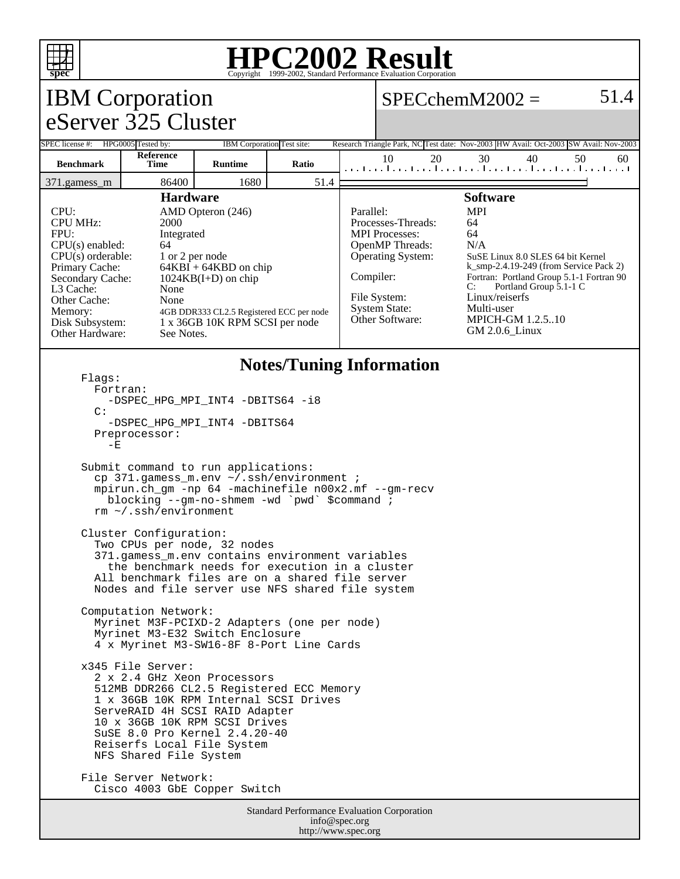

#### **HPC2002 Result** Copyright ©1999-2002, Standard Perform

#### IBM Corporation eServer 325 Cluster  $SPECchemM2002 = 51.4$ SPEC license #: HPG0005 Tested by: IBM Corporation Test site: Research Triangle Park, NC Test date: Nov-2003 HW Avail: Oct-2003 SW Avail: Nov-2003 **Benchmark Reference Time Runtime Ratio** 10 20 30 40 50 60 371.gamess\_m 86400 1680 51.4 **Hardware** CPU: AMD Opteron (246) CPU MHz: 2000 FPU: Integrated CPU(s) enabled: 64<br>CPU(s) orderable: 1 or 2 per node CPU(s) orderable:<br>Primary Cache:  $64KBI + 64KBD$  on chip Secondary Cache: 1024KB(I+D) on chip L3 Cache: None Other Cache: None Memory: 4GB DDR333 CL2.5 Registered ECC per node<br>Disk Subsystem: 1 x 36GB 10K RPM SCSI per node 1 x 36GB 10K RPM SCSI per node Other Hardware: See Notes. **Software** Parallel: MPI Processes-Threads: 64 MPI Processes: 64 OpenMP Threads: N/A Operating System: SuSE Linux 8.0 SLES 64 bit Kernel k\_smp-2.4.19-249 (from Service Pack 2) Compiler: Fortran: Portland Group 5.1-1 Fortran 90<br>C: Portland Group 5.1-1 C Portland Group 5.1-1 C File System: Linux/reiserfs System State: Multi-user<br>Other Software: MPICH-G **MPICH-GM 1.2.5..10** GM 2.0.6\_Linux **Notes/Tuning Information** Flags: Fortran: -DSPEC HPG MPI INT4 -DBITS64 -i8 C: -DSPEC\_HPG\_MPI\_INT4 -DBITS64 Preprocessor:  $-E$  Submit command to run applications: cp 371.gamess\_m.env ~/.ssh/environment ; mpirun.ch\_gm -np 64 -machinefile n00x2.mf --gm-recv blocking --gm-no-shmem -wd `pwd` \$command ; rm ~/.ssh/environment Cluster Configuration: Two CPUs per node, 32 nodes 371.gamess\_m.env contains environment variables the benchmark needs for execution in a cluster All benchmark files are on a shared file server Nodes and file server use NFS shared file system Computation Network: Myrinet M3F-PCIXD-2 Adapters (one per node) Myrinet M3-E32 Switch Enclosure 4 x Myrinet M3-SW16-8F 8-Port Line Cards x345 File Server: 2 x 2.4 GHz Xeon Processors 512MB DDR266 CL2.5 Registered ECC Memory 1 x 36GB 10K RPM Internal SCSI Drives ServeRAID 4H SCSI RAID Adapter 10 x 36GB 10K RPM SCSI Drives SuSE 8.0 Pro Kernel 2.4.20-40 Reiserfs Local File System NFS Shared File System File Server Network: Cisco 4003 GbE Copper Switch

Standard Performance Evaluation Corporation info@spec.org http://www.spec.org